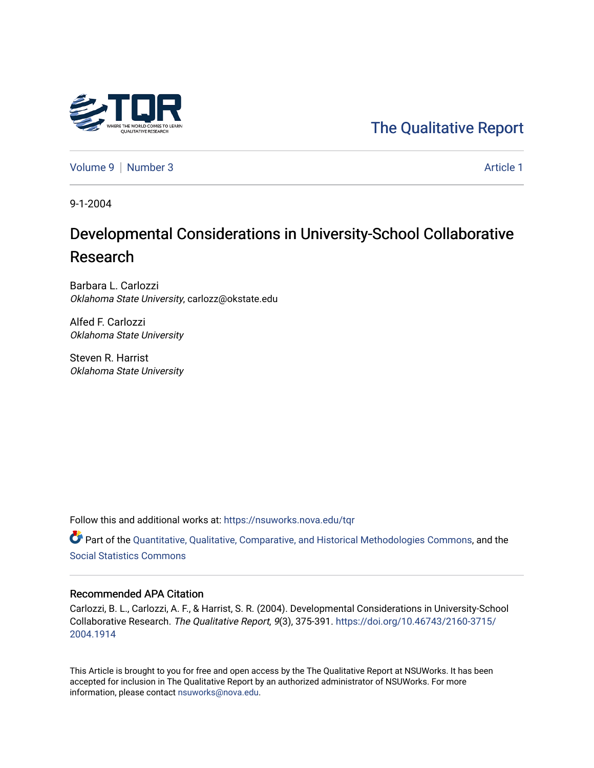# [The Qualitative Report](https://nsuworks.nova.edu/tqr)

[Volume 9](https://nsuworks.nova.edu/tqr/vol9) | [Number 3](https://nsuworks.nova.edu/tqr/vol9/iss3) Article 1

9-1-2004

# Developmental Considerations in University-School Collaborative Research

Barbara L. Carlozzi Oklahoma State University, carlozz@okstate.edu

Alfed F. Carlozzi Oklahoma State University

Steven R. Harrist Oklahoma State University

Follow this and additional works at: [https://nsuworks.nova.edu/tqr](https://nsuworks.nova.edu/tqr?utm_source=nsuworks.nova.edu%2Ftqr%2Fvol9%2Fiss3%2F1&utm_medium=PDF&utm_campaign=PDFCoverPages) 

Part of the [Quantitative, Qualitative, Comparative, and Historical Methodologies Commons,](http://network.bepress.com/hgg/discipline/423?utm_source=nsuworks.nova.edu%2Ftqr%2Fvol9%2Fiss3%2F1&utm_medium=PDF&utm_campaign=PDFCoverPages) and the [Social Statistics Commons](http://network.bepress.com/hgg/discipline/1275?utm_source=nsuworks.nova.edu%2Ftqr%2Fvol9%2Fiss3%2F1&utm_medium=PDF&utm_campaign=PDFCoverPages) 

#### Recommended APA Citation

Carlozzi, B. L., Carlozzi, A. F., & Harrist, S. R. (2004). Developmental Considerations in University-School Collaborative Research. The Qualitative Report, 9(3), 375-391. [https://doi.org/10.46743/2160-3715/](https://doi.org/10.46743/2160-3715/2004.1914) [2004.1914](https://doi.org/10.46743/2160-3715/2004.1914) 

This Article is brought to you for free and open access by the The Qualitative Report at NSUWorks. It has been accepted for inclusion in The Qualitative Report by an authorized administrator of NSUWorks. For more information, please contact [nsuworks@nova.edu.](mailto:nsuworks@nova.edu)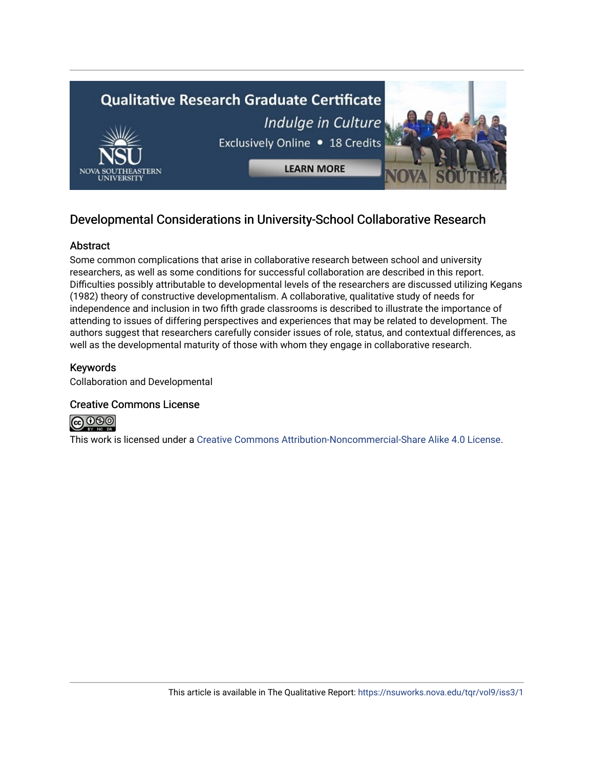

# Developmental Considerations in University-School Collaborative Research

## Abstract

Some common complications that arise in collaborative research between school and university researchers, as well as some conditions for successful collaboration are described in this report. Difficulties possibly attributable to developmental levels of the researchers are discussed utilizing Kegans (1982) theory of constructive developmentalism. A collaborative, qualitative study of needs for independence and inclusion in two fifth grade classrooms is described to illustrate the importance of attending to issues of differing perspectives and experiences that may be related to development. The authors suggest that researchers carefully consider issues of role, status, and contextual differences, as well as the developmental maturity of those with whom they engage in collaborative research.

# Keywords

Collaboration and Developmental

## Creative Commons License



This work is licensed under a [Creative Commons Attribution-Noncommercial-Share Alike 4.0 License](https://creativecommons.org/licenses/by-nc-sa/4.0/).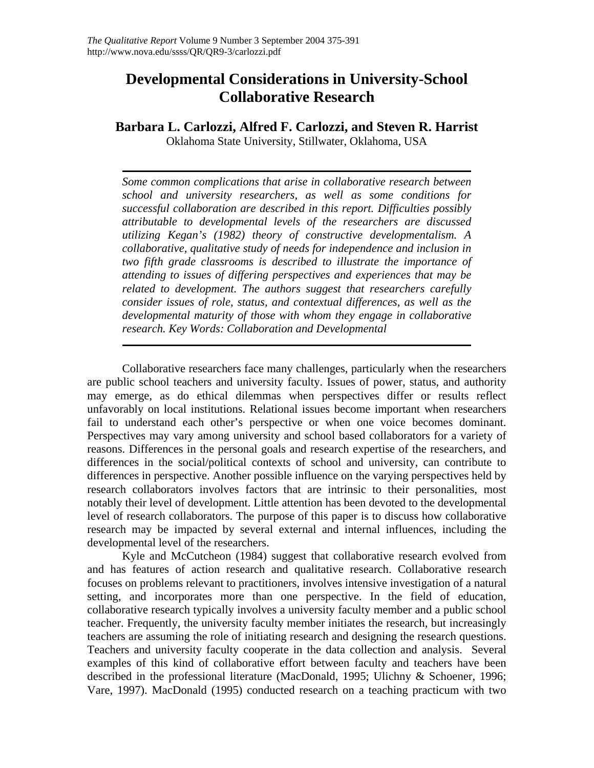# **Developmental Considerations in University-School Collaborative Research**

**Barbara L. Carlozzi, Alfred F. Carlozzi, and Steven R. Harrist** 

Oklahoma State University, Stillwater, Oklahoma, USA

*Some common complications that arise in collaborative research between school and university researchers, as well as some conditions for successful collaboration are described in this report. Difficulties possibly attributable to developmental levels of the researchers are discussed utilizing Kegan's (1982) theory of constructive developmentalism. A collaborative, qualitative study of needs for independence and inclusion in two fifth grade classrooms is described to illustrate the importance of attending to issues of differing perspectives and experiences that may be related to development. The authors suggest that researchers carefully consider issues of role, status, and contextual differences, as well as the developmental maturity of those with whom they engage in collaborative research. Key Words: Collaboration and Developmental*

Collaborative researchers face many challenges, particularly when the researchers are public school teachers and university faculty. Issues of power, status, and authority may emerge, as do ethical dilemmas when perspectives differ or results reflect unfavorably on local institutions. Relational issues become important when researchers fail to understand each other's perspective or when one voice becomes dominant. Perspectives may vary among university and school based collaborators for a variety of reasons. Differences in the personal goals and research expertise of the researchers, and differences in the social/political contexts of school and university, can contribute to differences in perspective. Another possible influence on the varying perspectives held by research collaborators involves factors that are intrinsic to their personalities, most notably their level of development. Little attention has been devoted to the developmental level of research collaborators. The purpose of this paper is to discuss how collaborative research may be impacted by several external and internal influences, including the developmental level of the researchers.

Kyle and McCutcheon (1984) suggest that collaborative research evolved from and has features of action research and qualitative research. Collaborative research focuses on problems relevant to practitioners, involves intensive investigation of a natural setting, and incorporates more than one perspective. In the field of education, collaborative research typically involves a university faculty member and a public school teacher. Frequently, the university faculty member initiates the research, but increasingly teachers are assuming the role of initiating research and designing the research questions. Teachers and university faculty cooperate in the data collection and analysis. Several examples of this kind of collaborative effort between faculty and teachers have been described in the professional literature (MacDonald, 1995; Ulichny & Schoener, 1996; Vare, 1997). MacDonald (1995) conducted research on a teaching practicum with two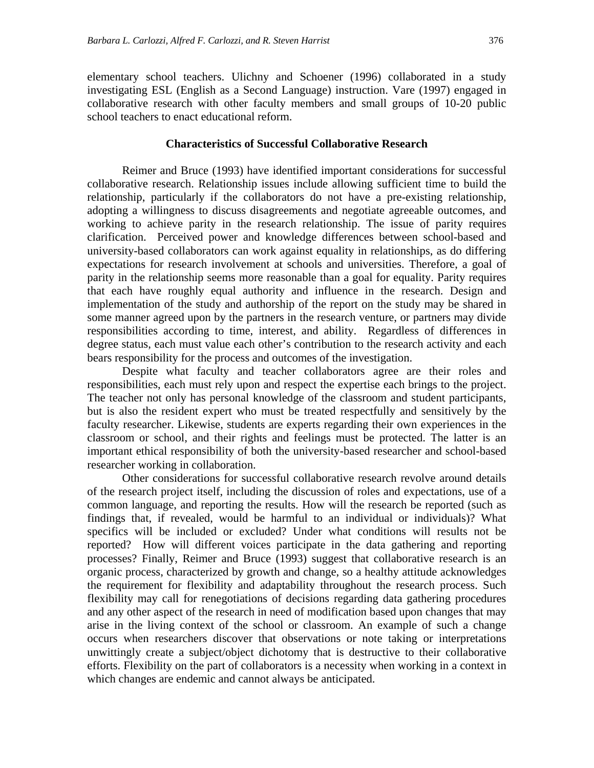elementary school teachers. Ulichny and Schoener (1996) collaborated in a study investigating ESL (English as a Second Language) instruction. Vare (1997) engaged in collaborative research with other faculty members and small groups of 10-20 public school teachers to enact educational reform.

#### **Characteristics of Successful Collaborative Research**

Reimer and Bruce (1993) have identified important considerations for successful collaborative research. Relationship issues include allowing sufficient time to build the relationship, particularly if the collaborators do not have a pre-existing relationship, adopting a willingness to discuss disagreements and negotiate agreeable outcomes, and working to achieve parity in the research relationship. The issue of parity requires clarification. Perceived power and knowledge differences between school-based and university-based collaborators can work against equality in relationships, as do differing expectations for research involvement at schools and universities. Therefore, a goal of parity in the relationship seems more reasonable than a goal for equality. Parity requires that each have roughly equal authority and influence in the research. Design and implementation of the study and authorship of the report on the study may be shared in some manner agreed upon by the partners in the research venture, or partners may divide responsibilities according to time, interest, and ability. Regardless of differences in degree status, each must value each other's contribution to the research activity and each bears responsibility for the process and outcomes of the investigation.

Despite what faculty and teacher collaborators agree are their roles and responsibilities, each must rely upon and respect the expertise each brings to the project. The teacher not only has personal knowledge of the classroom and student participants, but is also the resident expert who must be treated respectfully and sensitively by the faculty researcher. Likewise, students are experts regarding their own experiences in the classroom or school, and their rights and feelings must be protected. The latter is an important ethical responsibility of both the university-based researcher and school-based researcher working in collaboration.

Other considerations for successful collaborative research revolve around details of the research project itself, including the discussion of roles and expectations, use of a common language, and reporting the results. How will the research be reported (such as findings that, if revealed, would be harmful to an individual or individuals)? What specifics will be included or excluded? Under what conditions will results not be reported? How will different voices participate in the data gathering and reporting processes? Finally, Reimer and Bruce (1993) suggest that collaborative research is an organic process, characterized by growth and change, so a healthy attitude acknowledges the requirement for flexibility and adaptability throughout the research process. Such flexibility may call for renegotiations of decisions regarding data gathering procedures and any other aspect of the research in need of modification based upon changes that may arise in the living context of the school or classroom. An example of such a change occurs when researchers discover that observations or note taking or interpretations unwittingly create a subject/object dichotomy that is destructive to their collaborative efforts. Flexibility on the part of collaborators is a necessity when working in a context in which changes are endemic and cannot always be anticipated.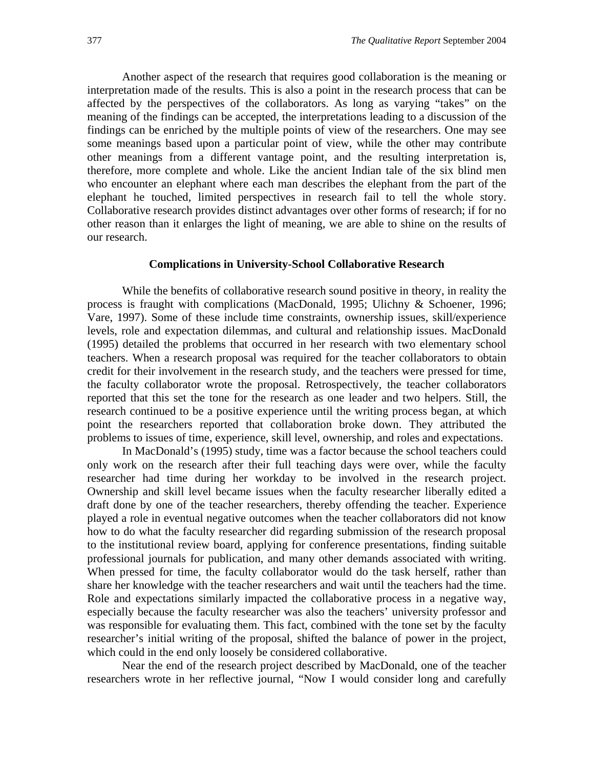Another aspect of the research that requires good collaboration is the meaning or interpretation made of the results. This is also a point in the research process that can be affected by the perspectives of the collaborators. As long as varying "takes" on the meaning of the findings can be accepted, the interpretations leading to a discussion of the findings can be enriched by the multiple points of view of the researchers. One may see some meanings based upon a particular point of view, while the other may contribute other meanings from a different vantage point, and the resulting interpretation is, therefore, more complete and whole. Like the ancient Indian tale of the six blind men who encounter an elephant where each man describes the elephant from the part of the elephant he touched, limited perspectives in research fail to tell the whole story. Collaborative research provides distinct advantages over other forms of research; if for no other reason than it enlarges the light of meaning, we are able to shine on the results of our research.

#### **Complications in University-School Collaborative Research**

While the benefits of collaborative research sound positive in theory, in reality the process is fraught with complications (MacDonald, 1995; Ulichny & Schoener, 1996; Vare, 1997). Some of these include time constraints, ownership issues, skill/experience levels, role and expectation dilemmas, and cultural and relationship issues. MacDonald (1995) detailed the problems that occurred in her research with two elementary school teachers. When a research proposal was required for the teacher collaborators to obtain credit for their involvement in the research study, and the teachers were pressed for time, the faculty collaborator wrote the proposal. Retrospectively, the teacher collaborators reported that this set the tone for the research as one leader and two helpers. Still, the research continued to be a positive experience until the writing process began, at which point the researchers reported that collaboration broke down. They attributed the problems to issues of time, experience, skill level, ownership, and roles and expectations.

In MacDonald's (1995) study, time was a factor because the school teachers could only work on the research after their full teaching days were over, while the faculty researcher had time during her workday to be involved in the research project. Ownership and skill level became issues when the faculty researcher liberally edited a draft done by one of the teacher researchers, thereby offending the teacher. Experience played a role in eventual negative outcomes when the teacher collaborators did not know how to do what the faculty researcher did regarding submission of the research proposal to the institutional review board, applying for conference presentations, finding suitable professional journals for publication, and many other demands associated with writing. When pressed for time, the faculty collaborator would do the task herself, rather than share her knowledge with the teacher researchers and wait until the teachers had the time. Role and expectations similarly impacted the collaborative process in a negative way, especially because the faculty researcher was also the teachers' university professor and was responsible for evaluating them. This fact, combined with the tone set by the faculty researcher's initial writing of the proposal, shifted the balance of power in the project, which could in the end only loosely be considered collaborative.

Near the end of the research project described by MacDonald, one of the teacher researchers wrote in her reflective journal, "Now I would consider long and carefully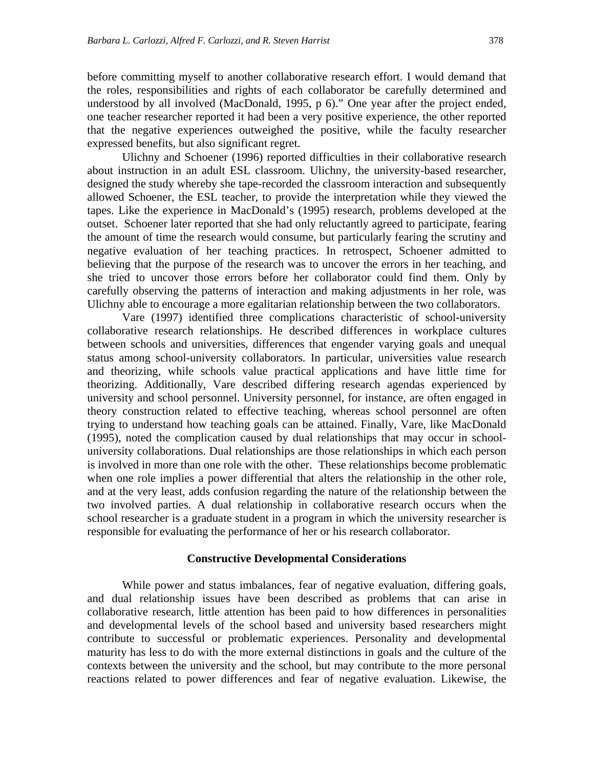before committing myself to another collaborative research effort. I would demand that the roles, responsibilities and rights of each collaborator be carefully determined and understood by all involved (MacDonald, 1995, p 6)." One year after the project ended, one teacher researcher reported it had been a very positive experience, the other reported that the negative experiences outweighed the positive, while the faculty researcher expressed benefits, but also significant regret.

Ulichny and Schoener (1996) reported difficulties in their collaborative research about instruction in an adult ESL classroom. Ulichny, the university-based researcher, designed the study whereby she tape-recorded the classroom interaction and subsequently allowed Schoener, the ESL teacher, to provide the interpretation while they viewed the tapes. Like the experience in MacDonald's (1995) research, problems developed at the outset. Schoener later reported that she had only reluctantly agreed to participate, fearing the amount of time the research would consume, but particularly fearing the scrutiny and negative evaluation of her teaching practices. In retrospect, Schoener admitted to believing that the purpose of the research was to uncover the errors in her teaching, and she tried to uncover those errors before her collaborator could find them. Only by carefully observing the patterns of interaction and making adjustments in her role, was Ulichny able to encourage a more egalitarian relationship between the two collaborators.

Vare (1997) identified three complications characteristic of school-university collaborative research relationships. He described differences in workplace cultures between schools and universities, differences that engender varying goals and unequal status among school-university collaborators. In particular, universities value research and theorizing, while schools value practical applications and have little time for theorizing. Additionally, Vare described differing research agendas experienced by university and school personnel. University personnel, for instance, are often engaged in theory construction related to effective teaching, whereas school personnel are often trying to understand how teaching goals can be attained. Finally, Vare, like MacDonald (1995), noted the complication caused by dual relationships that may occur in schooluniversity collaborations. Dual relationships are those relationships in which each person is involved in more than one role with the other. These relationships become problematic when one role implies a power differential that alters the relationship in the other role, and at the very least, adds confusion regarding the nature of the relationship between the two involved parties. A dual relationship in collaborative research occurs when the school researcher is a graduate student in a program in which the university researcher is responsible for evaluating the performance of her or his research collaborator.

#### **Constructive Developmental Considerations**

While power and status imbalances, fear of negative evaluation, differing goals, and dual relationship issues have been described as problems that can arise in collaborative research, little attention has been paid to how differences in personalities and developmental levels of the school based and university based researchers might contribute to successful or problematic experiences. Personality and developmental maturity has less to do with the more external distinctions in goals and the culture of the contexts between the university and the school, but may contribute to the more personal reactions related to power differences and fear of negative evaluation. Likewise, the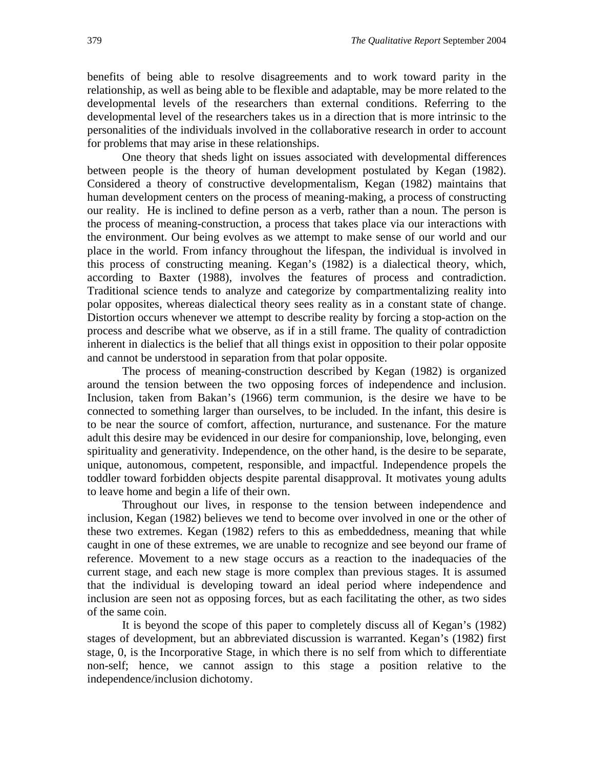benefits of being able to resolve disagreements and to work toward parity in the relationship, as well as being able to be flexible and adaptable, may be more related to the developmental levels of the researchers than external conditions. Referring to the developmental level of the researchers takes us in a direction that is more intrinsic to the personalities of the individuals involved in the collaborative research in order to account for problems that may arise in these relationships.

One theory that sheds light on issues associated with developmental differences between people is the theory of human development postulated by Kegan (1982). Considered a theory of constructive developmentalism, Kegan (1982) maintains that human development centers on the process of meaning-making, a process of constructing our reality. He is inclined to define person as a verb, rather than a noun. The person is the process of meaning-construction, a process that takes place via our interactions with the environment. Our being evolves as we attempt to make sense of our world and our place in the world. From infancy throughout the lifespan, the individual is involved in this process of constructing meaning. Kegan's (1982) is a dialectical theory, which, according to Baxter (1988), involves the features of process and contradiction. Traditional science tends to analyze and categorize by compartmentalizing reality into polar opposites, whereas dialectical theory sees reality as in a constant state of change. Distortion occurs whenever we attempt to describe reality by forcing a stop-action on the process and describe what we observe, as if in a still frame. The quality of contradiction inherent in dialectics is the belief that all things exist in opposition to their polar opposite and cannot be understood in separation from that polar opposite.

The process of meaning-construction described by Kegan (1982) is organized around the tension between the two opposing forces of independence and inclusion. Inclusion, taken from Bakan's (1966) term communion, is the desire we have to be connected to something larger than ourselves, to be included. In the infant, this desire is to be near the source of comfort, affection, nurturance, and sustenance. For the mature adult this desire may be evidenced in our desire for companionship, love, belonging, even spirituality and generativity. Independence, on the other hand, is the desire to be separate, unique, autonomous, competent, responsible, and impactful. Independence propels the toddler toward forbidden objects despite parental disapproval. It motivates young adults to leave home and begin a life of their own.

Throughout our lives, in response to the tension between independence and inclusion, Kegan (1982) believes we tend to become over involved in one or the other of these two extremes. Kegan (1982) refers to this as embeddedness, meaning that while caught in one of these extremes, we are unable to recognize and see beyond our frame of reference. Movement to a new stage occurs as a reaction to the inadequacies of the current stage, and each new stage is more complex than previous stages. It is assumed that the individual is developing toward an ideal period where independence and inclusion are seen not as opposing forces, but as each facilitating the other, as two sides of the same coin.

It is beyond the scope of this paper to completely discuss all of Kegan's (1982) stages of development, but an abbreviated discussion is warranted. Kegan's (1982) first stage, 0, is the Incorporative Stage, in which there is no self from which to differentiate non-self; hence, we cannot assign to this stage a position relative to the independence/inclusion dichotomy.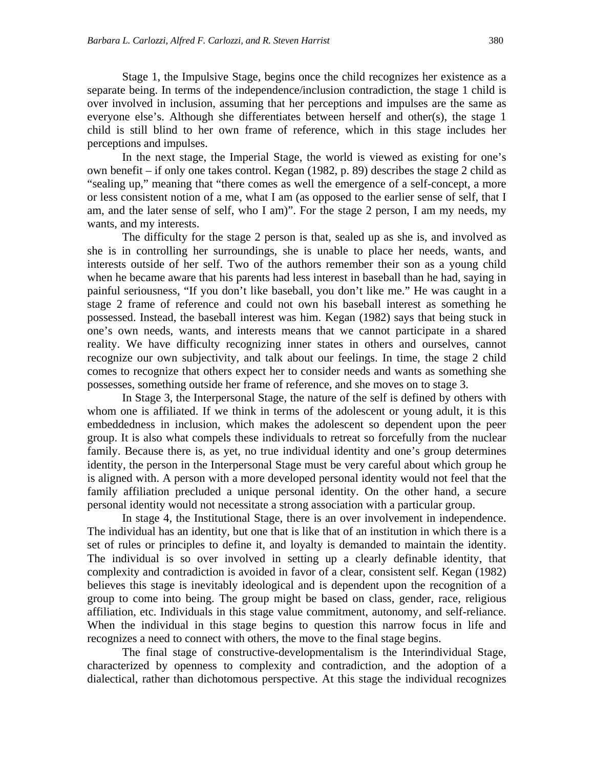Stage 1, the Impulsive Stage, begins once the child recognizes her existence as a separate being. In terms of the independence/inclusion contradiction, the stage 1 child is over involved in inclusion, assuming that her perceptions and impulses are the same as everyone else's. Although she differentiates between herself and other(s), the stage 1 child is still blind to her own frame of reference, which in this stage includes her perceptions and impulses.

In the next stage, the Imperial Stage, the world is viewed as existing for one's own benefit – if only one takes control. Kegan (1982, p. 89) describes the stage 2 child as "sealing up," meaning that "there comes as well the emergence of a self-concept, a more or less consistent notion of a me, what I am (as opposed to the earlier sense of self, that I am, and the later sense of self, who I am)". For the stage 2 person, I am my needs, my wants, and my interests.

The difficulty for the stage 2 person is that, sealed up as she is, and involved as she is in controlling her surroundings, she is unable to place her needs, wants, and interests outside of her self. Two of the authors remember their son as a young child when he became aware that his parents had less interest in baseball than he had, saying in painful seriousness, "If you don't like baseball, you don't like me." He was caught in a stage 2 frame of reference and could not own his baseball interest as something he possessed. Instead, the baseball interest was him. Kegan (1982) says that being stuck in one's own needs, wants, and interests means that we cannot participate in a shared reality. We have difficulty recognizing inner states in others and ourselves, cannot recognize our own subjectivity, and talk about our feelings. In time, the stage 2 child comes to recognize that others expect her to consider needs and wants as something she possesses, something outside her frame of reference, and she moves on to stage 3.

In Stage 3, the Interpersonal Stage, the nature of the self is defined by others with whom one is affiliated. If we think in terms of the adolescent or young adult, it is this embeddedness in inclusion, which makes the adolescent so dependent upon the peer group. It is also what compels these individuals to retreat so forcefully from the nuclear family. Because there is, as yet, no true individual identity and one's group determines identity, the person in the Interpersonal Stage must be very careful about which group he is aligned with. A person with a more developed personal identity would not feel that the family affiliation precluded a unique personal identity. On the other hand, a secure personal identity would not necessitate a strong association with a particular group.

In stage 4, the Institutional Stage, there is an over involvement in independence. The individual has an identity, but one that is like that of an institution in which there is a set of rules or principles to define it, and loyalty is demanded to maintain the identity. The individual is so over involved in setting up a clearly definable identity, that complexity and contradiction is avoided in favor of a clear, consistent self. Kegan (1982) believes this stage is inevitably ideological and is dependent upon the recognition of a group to come into being. The group might be based on class, gender, race, religious affiliation, etc. Individuals in this stage value commitment, autonomy, and self-reliance. When the individual in this stage begins to question this narrow focus in life and recognizes a need to connect with others, the move to the final stage begins.

The final stage of constructive-developmentalism is the Interindividual Stage, characterized by openness to complexity and contradiction, and the adoption of a dialectical, rather than dichotomous perspective. At this stage the individual recognizes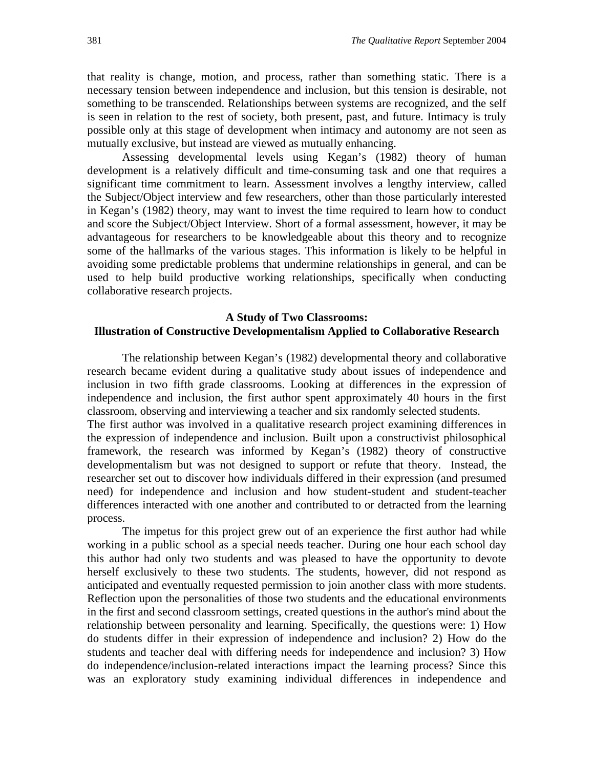that reality is change, motion, and process, rather than something static. There is a necessary tension between independence and inclusion, but this tension is desirable, not something to be transcended. Relationships between systems are recognized, and the self is seen in relation to the rest of society, both present, past, and future. Intimacy is truly possible only at this stage of development when intimacy and autonomy are not seen as mutually exclusive, but instead are viewed as mutually enhancing.

Assessing developmental levels using Kegan's (1982) theory of human development is a relatively difficult and time-consuming task and one that requires a significant time commitment to learn. Assessment involves a lengthy interview, called the Subject/Object interview and few researchers, other than those particularly interested in Kegan's (1982) theory, may want to invest the time required to learn how to conduct and score the Subject/Object Interview. Short of a formal assessment, however, it may be advantageous for researchers to be knowledgeable about this theory and to recognize some of the hallmarks of the various stages. This information is likely to be helpful in avoiding some predictable problems that undermine relationships in general, and can be used to help build productive working relationships, specifically when conducting collaborative research projects.

### **A Study of Two Classrooms: Illustration of Constructive Developmentalism Applied to Collaborative Research**

The relationship between Kegan's (1982) developmental theory and collaborative research became evident during a qualitative study about issues of independence and inclusion in two fifth grade classrooms. Looking at differences in the expression of independence and inclusion, the first author spent approximately 40 hours in the first classroom, observing and interviewing a teacher and six randomly selected students.

The first author was involved in a qualitative research project examining differences in the expression of independence and inclusion. Built upon a constructivist philosophical framework, the research was informed by Kegan's (1982) theory of constructive developmentalism but was not designed to support or refute that theory. Instead, the researcher set out to discover how individuals differed in their expression (and presumed need) for independence and inclusion and how student-student and student-teacher differences interacted with one another and contributed to or detracted from the learning process.

The impetus for this project grew out of an experience the first author had while working in a public school as a special needs teacher. During one hour each school day this author had only two students and was pleased to have the opportunity to devote herself exclusively to these two students. The students, however, did not respond as anticipated and eventually requested permission to join another class with more students. Reflection upon the personalities of those two students and the educational environments in the first and second classroom settings, created questions in the author's mind about the relationship between personality and learning. Specifically, the questions were: 1) How do students differ in their expression of independence and inclusion? 2) How do the students and teacher deal with differing needs for independence and inclusion? 3) How do independence/inclusion-related interactions impact the learning process? Since this was an exploratory study examining individual differences in independence and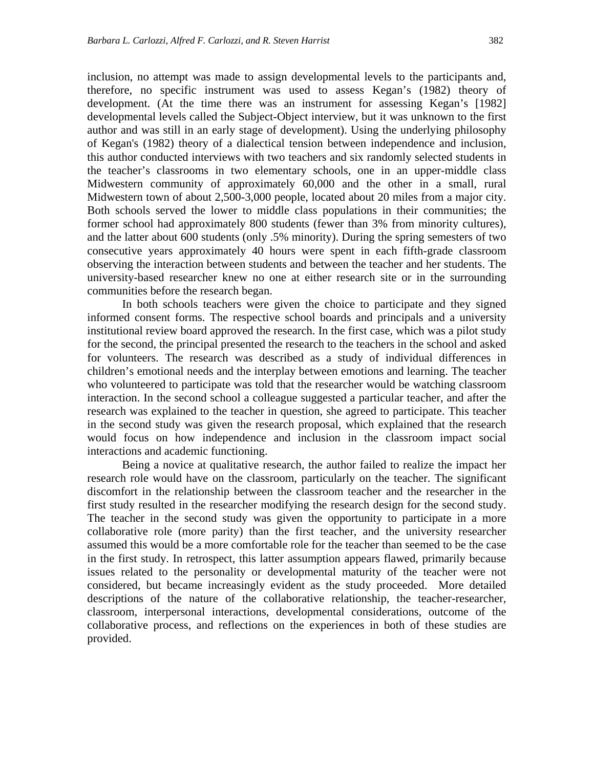inclusion, no attempt was made to assign developmental levels to the participants and, therefore, no specific instrument was used to assess Kegan's (1982) theory of development. (At the time there was an instrument for assessing Kegan's [1982] developmental levels called the Subject-Object interview, but it was unknown to the first author and was still in an early stage of development). Using the underlying philosophy of Kegan's (1982) theory of a dialectical tension between independence and inclusion, this author conducted interviews with two teachers and six randomly selected students in the teacher's classrooms in two elementary schools, one in an upper-middle class Midwestern community of approximately 60,000 and the other in a small, rural Midwestern town of about 2,500-3,000 people, located about 20 miles from a major city. Both schools served the lower to middle class populations in their communities; the former school had approximately 800 students (fewer than 3% from minority cultures), and the latter about 600 students (only .5% minority). During the spring semesters of two consecutive years approximately 40 hours were spent in each fifth-grade classroom observing the interaction between students and between the teacher and her students. The university-based researcher knew no one at either research site or in the surrounding communities before the research began.

In both schools teachers were given the choice to participate and they signed informed consent forms. The respective school boards and principals and a university institutional review board approved the research. In the first case, which was a pilot study for the second, the principal presented the research to the teachers in the school and asked for volunteers. The research was described as a study of individual differences in children's emotional needs and the interplay between emotions and learning. The teacher who volunteered to participate was told that the researcher would be watching classroom interaction. In the second school a colleague suggested a particular teacher, and after the research was explained to the teacher in question, she agreed to participate. This teacher in the second study was given the research proposal, which explained that the research would focus on how independence and inclusion in the classroom impact social interactions and academic functioning.

Being a novice at qualitative research, the author failed to realize the impact her research role would have on the classroom, particularly on the teacher. The significant discomfort in the relationship between the classroom teacher and the researcher in the first study resulted in the researcher modifying the research design for the second study. The teacher in the second study was given the opportunity to participate in a more collaborative role (more parity) than the first teacher, and the university researcher assumed this would be a more comfortable role for the teacher than seemed to be the case in the first study. In retrospect, this latter assumption appears flawed, primarily because issues related to the personality or developmental maturity of the teacher were not considered, but became increasingly evident as the study proceeded. More detailed descriptions of the nature of the collaborative relationship, the teacher-researcher, classroom, interpersonal interactions, developmental considerations, outcome of the collaborative process, and reflections on the experiences in both of these studies are provided.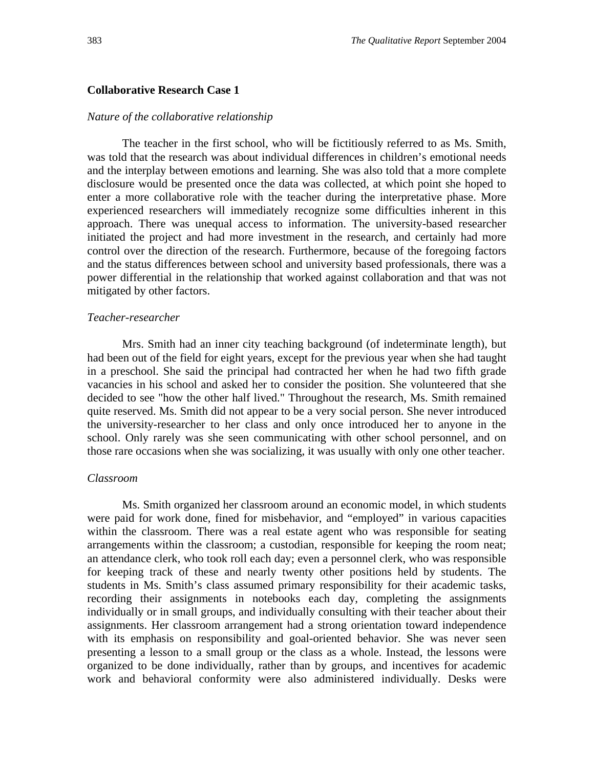#### **Collaborative Research Case 1**

#### *Nature of the collaborative relationship*

The teacher in the first school, who will be fictitiously referred to as Ms. Smith, was told that the research was about individual differences in children's emotional needs and the interplay between emotions and learning. She was also told that a more complete disclosure would be presented once the data was collected, at which point she hoped to enter a more collaborative role with the teacher during the interpretative phase. More experienced researchers will immediately recognize some difficulties inherent in this approach. There was unequal access to information. The university-based researcher initiated the project and had more investment in the research, and certainly had more control over the direction of the research. Furthermore, because of the foregoing factors and the status differences between school and university based professionals, there was a power differential in the relationship that worked against collaboration and that was not mitigated by other factors.

#### *Teacher-researcher*

Mrs. Smith had an inner city teaching background (of indeterminate length), but had been out of the field for eight years, except for the previous year when she had taught in a preschool. She said the principal had contracted her when he had two fifth grade vacancies in his school and asked her to consider the position. She volunteered that she decided to see "how the other half lived." Throughout the research, Ms. Smith remained quite reserved. Ms. Smith did not appear to be a very social person. She never introduced the university-researcher to her class and only once introduced her to anyone in the school. Only rarely was she seen communicating with other school personnel, and on those rare occasions when she was socializing, it was usually with only one other teacher.

#### *Classroom*

Ms. Smith organized her classroom around an economic model, in which students were paid for work done, fined for misbehavior, and "employed" in various capacities within the classroom. There was a real estate agent who was responsible for seating arrangements within the classroom; a custodian, responsible for keeping the room neat; an attendance clerk, who took roll each day; even a personnel clerk, who was responsible for keeping track of these and nearly twenty other positions held by students. The students in Ms. Smith's class assumed primary responsibility for their academic tasks, recording their assignments in notebooks each day, completing the assignments individually or in small groups, and individually consulting with their teacher about their assignments. Her classroom arrangement had a strong orientation toward independence with its emphasis on responsibility and goal-oriented behavior. She was never seen presenting a lesson to a small group or the class as a whole. Instead, the lessons were organized to be done individually, rather than by groups, and incentives for academic work and behavioral conformity were also administered individually. Desks were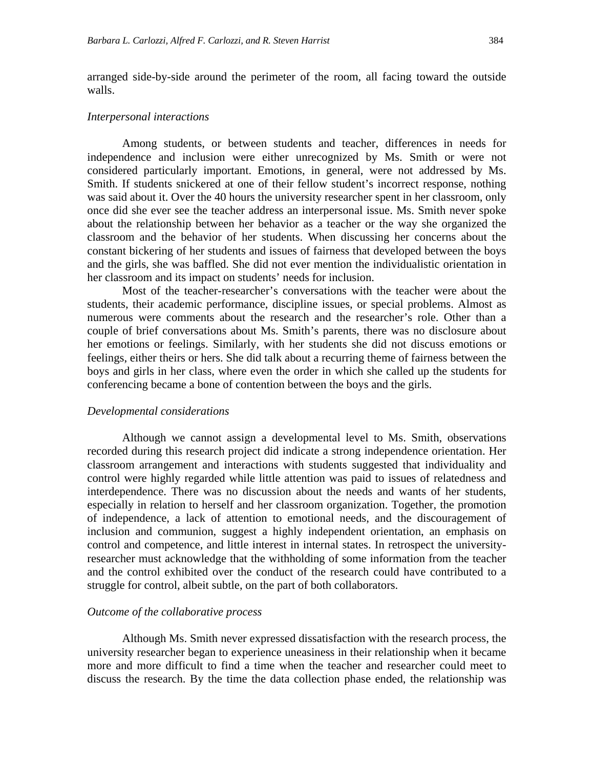arranged side-by-side around the perimeter of the room, all facing toward the outside walls.

#### *Interpersonal interactions*

Among students, or between students and teacher, differences in needs for independence and inclusion were either unrecognized by Ms. Smith or were not considered particularly important. Emotions, in general, were not addressed by Ms. Smith. If students snickered at one of their fellow student's incorrect response, nothing was said about it. Over the 40 hours the university researcher spent in her classroom, only once did she ever see the teacher address an interpersonal issue. Ms. Smith never spoke about the relationship between her behavior as a teacher or the way she organized the classroom and the behavior of her students. When discussing her concerns about the constant bickering of her students and issues of fairness that developed between the boys and the girls, she was baffled. She did not ever mention the individualistic orientation in her classroom and its impact on students' needs for inclusion.

Most of the teacher-researcher's conversations with the teacher were about the students, their academic performance, discipline issues, or special problems. Almost as numerous were comments about the research and the researcher's role. Other than a couple of brief conversations about Ms. Smith's parents, there was no disclosure about her emotions or feelings. Similarly, with her students she did not discuss emotions or feelings, either theirs or hers. She did talk about a recurring theme of fairness between the boys and girls in her class, where even the order in which she called up the students for conferencing became a bone of contention between the boys and the girls.

#### *Developmental considerations*

Although we cannot assign a developmental level to Ms. Smith, observations recorded during this research project did indicate a strong independence orientation. Her classroom arrangement and interactions with students suggested that individuality and control were highly regarded while little attention was paid to issues of relatedness and interdependence. There was no discussion about the needs and wants of her students, especially in relation to herself and her classroom organization. Together, the promotion of independence, a lack of attention to emotional needs, and the discouragement of inclusion and communion, suggest a highly independent orientation, an emphasis on control and competence, and little interest in internal states. In retrospect the universityresearcher must acknowledge that the withholding of some information from the teacher and the control exhibited over the conduct of the research could have contributed to a struggle for control, albeit subtle, on the part of both collaborators.

#### *Outcome of the collaborative process*

Although Ms. Smith never expressed dissatisfaction with the research process, the university researcher began to experience uneasiness in their relationship when it became more and more difficult to find a time when the teacher and researcher could meet to discuss the research. By the time the data collection phase ended, the relationship was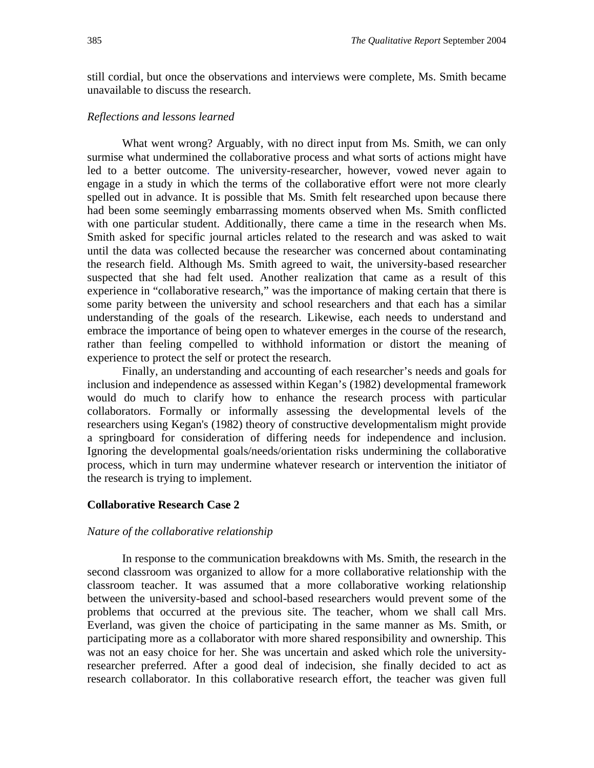still cordial, but once the observations and interviews were complete, Ms. Smith became unavailable to discuss the research.

#### *Reflections and lessons learned*

What went wrong? Arguably, with no direct input from Ms. Smith, we can only surmise what undermined the collaborative process and what sorts of actions might have led to a better outcome. The university-researcher, however, vowed never again to engage in a study in which the terms of the collaborative effort were not more clearly spelled out in advance. It is possible that Ms. Smith felt researched upon because there had been some seemingly embarrassing moments observed when Ms. Smith conflicted with one particular student. Additionally, there came a time in the research when Ms. Smith asked for specific journal articles related to the research and was asked to wait until the data was collected because the researcher was concerned about contaminating the research field. Although Ms. Smith agreed to wait, the university-based researcher suspected that she had felt used. Another realization that came as a result of this experience in "collaborative research," was the importance of making certain that there is some parity between the university and school researchers and that each has a similar understanding of the goals of the research. Likewise, each needs to understand and embrace the importance of being open to whatever emerges in the course of the research, rather than feeling compelled to withhold information or distort the meaning of experience to protect the self or protect the research.

Finally, an understanding and accounting of each researcher's needs and goals for inclusion and independence as assessed within Kegan's (1982) developmental framework would do much to clarify how to enhance the research process with particular collaborators. Formally or informally assessing the developmental levels of the researchers using Kegan's (1982) theory of constructive developmentalism might provide a springboard for consideration of differing needs for independence and inclusion. Ignoring the developmental goals/needs/orientation risks undermining the collaborative process, which in turn may undermine whatever research or intervention the initiator of the research is trying to implement.

#### **Collaborative Research Case 2**

#### *Nature of the collaborative relationship*

In response to the communication breakdowns with Ms. Smith, the research in the second classroom was organized to allow for a more collaborative relationship with the classroom teacher. It was assumed that a more collaborative working relationship between the university-based and school-based researchers would prevent some of the problems that occurred at the previous site. The teacher, whom we shall call Mrs. Everland, was given the choice of participating in the same manner as Ms. Smith, or participating more as a collaborator with more shared responsibility and ownership. This was not an easy choice for her. She was uncertain and asked which role the universityresearcher preferred. After a good deal of indecision, she finally decided to act as research collaborator. In this collaborative research effort, the teacher was given full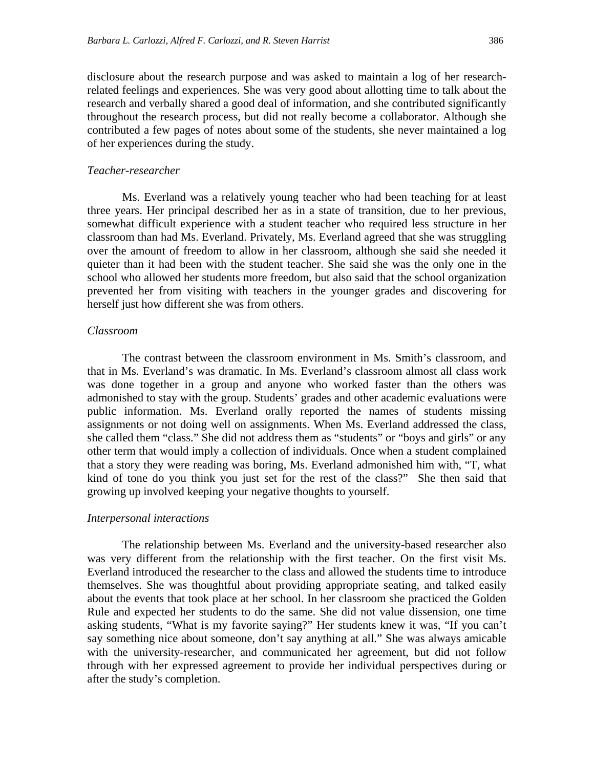disclosure about the research purpose and was asked to maintain a log of her researchrelated feelings and experiences. She was very good about allotting time to talk about the research and verbally shared a good deal of information, and she contributed significantly throughout the research process, but did not really become a collaborator. Although she contributed a few pages of notes about some of the students, she never maintained a log of her experiences during the study.

#### *Teacher-researcher*

Ms. Everland was a relatively young teacher who had been teaching for at least three years. Her principal described her as in a state of transition, due to her previous, somewhat difficult experience with a student teacher who required less structure in her classroom than had Ms. Everland. Privately, Ms. Everland agreed that she was struggling over the amount of freedom to allow in her classroom, although she said she needed it quieter than it had been with the student teacher. She said she was the only one in the school who allowed her students more freedom, but also said that the school organization prevented her from visiting with teachers in the younger grades and discovering for herself just how different she was from others.

#### *Classroom*

The contrast between the classroom environment in Ms. Smith's classroom, and that in Ms. Everland's was dramatic. In Ms. Everland's classroom almost all class work was done together in a group and anyone who worked faster than the others was admonished to stay with the group. Students' grades and other academic evaluations were public information. Ms. Everland orally reported the names of students missing assignments or not doing well on assignments. When Ms. Everland addressed the class, she called them "class." She did not address them as "students" or "boys and girls" or any other term that would imply a collection of individuals. Once when a student complained that a story they were reading was boring, Ms. Everland admonished him with, "T, what kind of tone do you think you just set for the rest of the class?" She then said that growing up involved keeping your negative thoughts to yourself.

#### *Interpersonal interactions*

The relationship between Ms. Everland and the university-based researcher also was very different from the relationship with the first teacher. On the first visit Ms. Everland introduced the researcher to the class and allowed the students time to introduce themselves. She was thoughtful about providing appropriate seating, and talked easily about the events that took place at her school. In her classroom she practiced the Golden Rule and expected her students to do the same. She did not value dissension, one time asking students, "What is my favorite saying?" Her students knew it was, "If you can't say something nice about someone, don't say anything at all." She was always amicable with the university-researcher, and communicated her agreement, but did not follow through with her expressed agreement to provide her individual perspectives during or after the study's completion.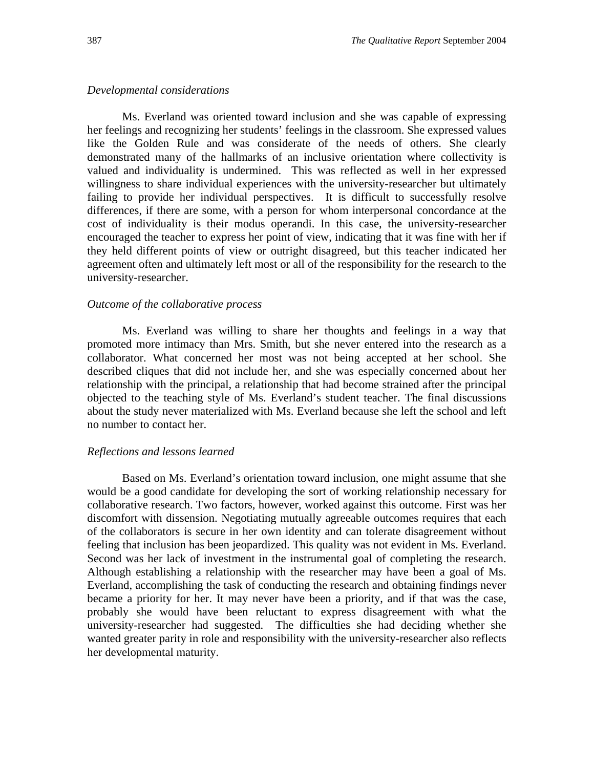#### *Developmental considerations*

Ms. Everland was oriented toward inclusion and she was capable of expressing her feelings and recognizing her students' feelings in the classroom. She expressed values like the Golden Rule and was considerate of the needs of others. She clearly demonstrated many of the hallmarks of an inclusive orientation where collectivity is valued and individuality is undermined. This was reflected as well in her expressed willingness to share individual experiences with the university-researcher but ultimately failing to provide her individual perspectives. It is difficult to successfully resolve differences, if there are some, with a person for whom interpersonal concordance at the cost of individuality is their modus operandi. In this case, the university-researcher encouraged the teacher to express her point of view, indicating that it was fine with her if they held different points of view or outright disagreed, but this teacher indicated her agreement often and ultimately left most or all of the responsibility for the research to the university-researcher.

#### *Outcome of the collaborative process*

Ms. Everland was willing to share her thoughts and feelings in a way that promoted more intimacy than Mrs. Smith, but she never entered into the research as a collaborator. What concerned her most was not being accepted at her school. She described cliques that did not include her, and she was especially concerned about her relationship with the principal, a relationship that had become strained after the principal objected to the teaching style of Ms. Everland's student teacher. The final discussions about the study never materialized with Ms. Everland because she left the school and left no number to contact her.

#### *Reflections and lessons learned*

Based on Ms. Everland's orientation toward inclusion, one might assume that she would be a good candidate for developing the sort of working relationship necessary for collaborative research. Two factors, however, worked against this outcome. First was her discomfort with dissension. Negotiating mutually agreeable outcomes requires that each of the collaborators is secure in her own identity and can tolerate disagreement without feeling that inclusion has been jeopardized. This quality was not evident in Ms. Everland. Second was her lack of investment in the instrumental goal of completing the research. Although establishing a relationship with the researcher may have been a goal of Ms. Everland, accomplishing the task of conducting the research and obtaining findings never became a priority for her. It may never have been a priority, and if that was the case, probably she would have been reluctant to express disagreement with what the university-researcher had suggested. The difficulties she had deciding whether she wanted greater parity in role and responsibility with the university-researcher also reflects her developmental maturity.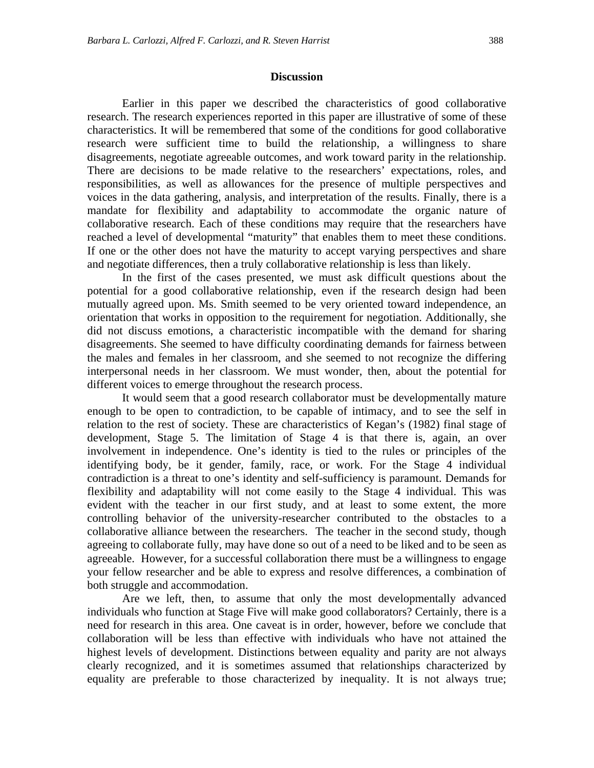#### **Discussion**

Earlier in this paper we described the characteristics of good collaborative research. The research experiences reported in this paper are illustrative of some of these characteristics. It will be remembered that some of the conditions for good collaborative research were sufficient time to build the relationship, a willingness to share disagreements, negotiate agreeable outcomes, and work toward parity in the relationship. There are decisions to be made relative to the researchers' expectations, roles, and responsibilities, as well as allowances for the presence of multiple perspectives and voices in the data gathering, analysis, and interpretation of the results. Finally, there is a mandate for flexibility and adaptability to accommodate the organic nature of collaborative research. Each of these conditions may require that the researchers have reached a level of developmental "maturity" that enables them to meet these conditions. If one or the other does not have the maturity to accept varying perspectives and share and negotiate differences, then a truly collaborative relationship is less than likely.

 In the first of the cases presented, we must ask difficult questions about the potential for a good collaborative relationship, even if the research design had been mutually agreed upon. Ms. Smith seemed to be very oriented toward independence, an orientation that works in opposition to the requirement for negotiation. Additionally, she did not discuss emotions, a characteristic incompatible with the demand for sharing disagreements. She seemed to have difficulty coordinating demands for fairness between the males and females in her classroom, and she seemed to not recognize the differing interpersonal needs in her classroom. We must wonder, then, about the potential for different voices to emerge throughout the research process.

 It would seem that a good research collaborator must be developmentally mature enough to be open to contradiction, to be capable of intimacy, and to see the self in relation to the rest of society. These are characteristics of Kegan's (1982) final stage of development, Stage 5. The limitation of Stage 4 is that there is, again, an over involvement in independence. One's identity is tied to the rules or principles of the identifying body, be it gender, family, race, or work. For the Stage 4 individual contradiction is a threat to one's identity and self-sufficiency is paramount. Demands for flexibility and adaptability will not come easily to the Stage 4 individual. This was evident with the teacher in our first study, and at least to some extent, the more controlling behavior of the university-researcher contributed to the obstacles to a collaborative alliance between the researchers. The teacher in the second study, though agreeing to collaborate fully, may have done so out of a need to be liked and to be seen as agreeable. However, for a successful collaboration there must be a willingness to engage your fellow researcher and be able to express and resolve differences, a combination of both struggle and accommodation.

 Are we left, then, to assume that only the most developmentally advanced individuals who function at Stage Five will make good collaborators? Certainly, there is a need for research in this area. One caveat is in order, however, before we conclude that collaboration will be less than effective with individuals who have not attained the highest levels of development. Distinctions between equality and parity are not always clearly recognized, and it is sometimes assumed that relationships characterized by equality are preferable to those characterized by inequality. It is not always true;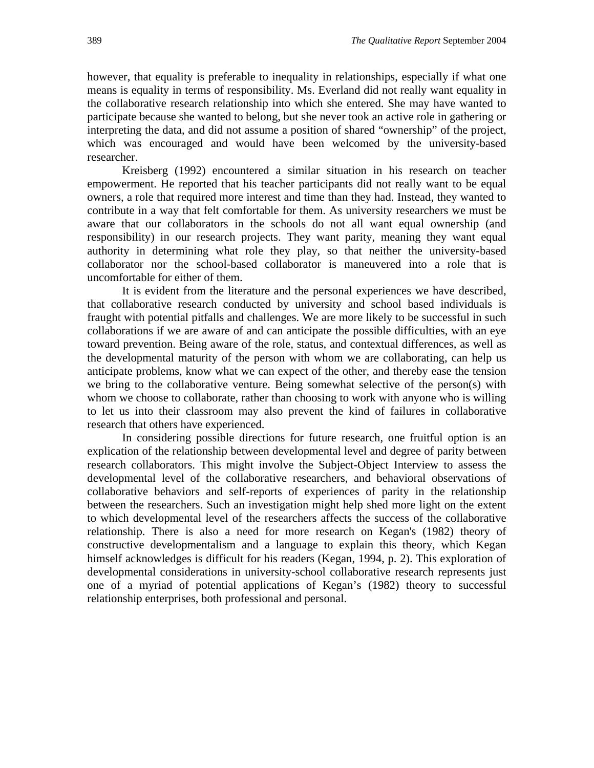however, that equality is preferable to inequality in relationships, especially if what one means is equality in terms of responsibility. Ms. Everland did not really want equality in the collaborative research relationship into which she entered. She may have wanted to participate because she wanted to belong, but she never took an active role in gathering or interpreting the data, and did not assume a position of shared "ownership" of the project, which was encouraged and would have been welcomed by the university-based researcher.

 Kreisberg (1992) encountered a similar situation in his research on teacher empowerment. He reported that his teacher participants did not really want to be equal owners, a role that required more interest and time than they had. Instead, they wanted to contribute in a way that felt comfortable for them. As university researchers we must be aware that our collaborators in the schools do not all want equal ownership (and responsibility) in our research projects. They want parity, meaning they want equal authority in determining what role they play, so that neither the university-based collaborator nor the school-based collaborator is maneuvered into a role that is uncomfortable for either of them.

 It is evident from the literature and the personal experiences we have described, that collaborative research conducted by university and school based individuals is fraught with potential pitfalls and challenges. We are more likely to be successful in such collaborations if we are aware of and can anticipate the possible difficulties, with an eye toward prevention. Being aware of the role, status, and contextual differences, as well as the developmental maturity of the person with whom we are collaborating, can help us anticipate problems, know what we can expect of the other, and thereby ease the tension we bring to the collaborative venture. Being somewhat selective of the person(s) with whom we choose to collaborate, rather than choosing to work with anyone who is willing to let us into their classroom may also prevent the kind of failures in collaborative research that others have experienced.

 In considering possible directions for future research, one fruitful option is an explication of the relationship between developmental level and degree of parity between research collaborators. This might involve the Subject-Object Interview to assess the developmental level of the collaborative researchers, and behavioral observations of collaborative behaviors and self-reports of experiences of parity in the relationship between the researchers. Such an investigation might help shed more light on the extent to which developmental level of the researchers affects the success of the collaborative relationship. There is also a need for more research on Kegan's (1982) theory of constructive developmentalism and a language to explain this theory, which Kegan himself acknowledges is difficult for his readers (Kegan, 1994, p. 2). This exploration of developmental considerations in university-school collaborative research represents just one of a myriad of potential applications of Kegan's (1982) theory to successful relationship enterprises, both professional and personal.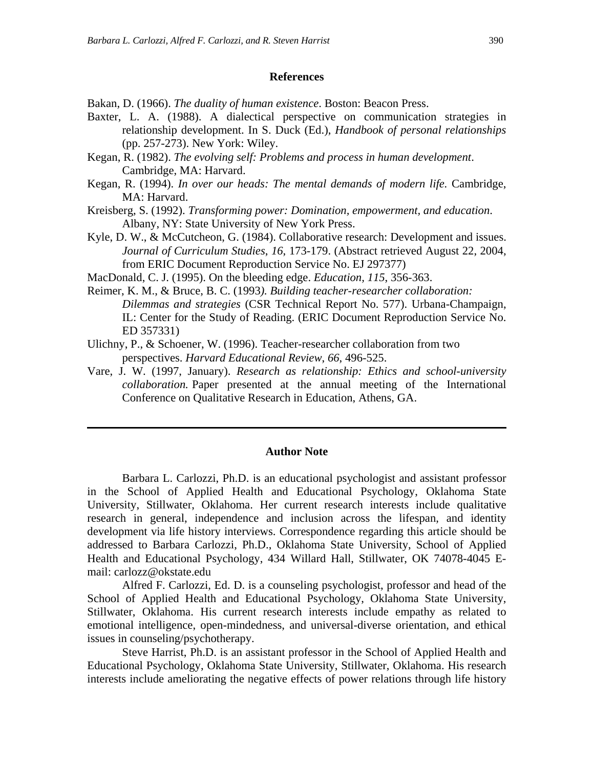#### **References**

Bakan, D. (1966). *The duality of human existence*. Boston: Beacon Press.

- Baxter, L. A. (1988). A dialectical perspective on communication strategies in relationship development. In S. Duck (Ed.), *Handbook of personal relationships* (pp. 257-273). New York: Wiley.
- Kegan, R. (1982). *The evolving self: Problems and process in human development*. Cambridge, MA: Harvard.
- Kegan, R. (1994). *In over our heads: The mental demands of modern life.* Cambridge, MA: Harvard.
- Kreisberg, S. (1992). *Transforming power: Domination, empowerment, and education*. Albany, NY: State University of New York Press.
- Kyle, D. W., & McCutcheon, G. (1984). Collaborative research: Development and issues. *Journal of Curriculum Studies*, *16*, 173-179. (Abstract retrieved August 22, 2004, from ERIC Document Reproduction Service No. EJ 297377)
- MacDonald, C. J. (1995). On the bleeding edge. *Education, 115*, 356-363.
- Reimer, K. M., & Bruce, B. C. (1993*). Building teacher-researcher collaboration: Dilemmas and strategies* (CSR Technical Report No. 577). Urbana-Champaign, IL: Center for the Study of Reading. (ERIC Document Reproduction Service No. ED 357331)
- Ulichny, P., & Schoener, W. (1996). Teacher-researcher collaboration from two perspectives. *Harvard Educational Review*, *66*, 496-525.
- Vare, J. W. (1997, January). *Research as relationship: Ethics and school-university collaboration.* Paper presented at the annual meeting of the International Conference on Qualitative Research in Education, Athens, GA.

#### **Author Note**

Barbara L. Carlozzi, Ph.D. is an educational psychologist and assistant professor in the School of Applied Health and Educational Psychology, Oklahoma State University, Stillwater, Oklahoma. Her current research interests include qualitative research in general, independence and inclusion across the lifespan, and identity development via life history interviews. Correspondence regarding this article should be addressed to Barbara Carlozzi, Ph.D., Oklahoma State University, School of Applied Health and Educational Psychology, 434 Willard Hall, Stillwater, OK 74078-4045 Email: carlozz@okstate.edu

Alfred F. Carlozzi, Ed. D. is a counseling psychologist, professor and head of the School of Applied Health and Educational Psychology, Oklahoma State University, Stillwater, Oklahoma. His current research interests include empathy as related to emotional intelligence, open-mindedness, and universal-diverse orientation, and ethical issues in counseling/psychotherapy.

Steve Harrist, Ph.D. is an assistant professor in the School of Applied Health and Educational Psychology, Oklahoma State University, Stillwater, Oklahoma. His research interests include ameliorating the negative effects of power relations through life history